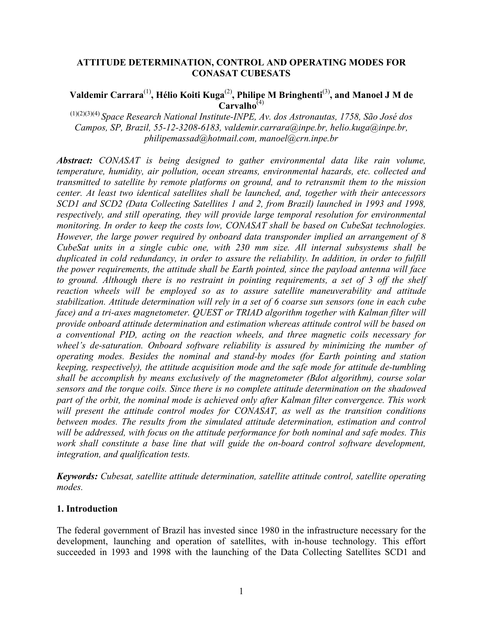## ATTITUDE DETERMINATION, CONTROL AND OPERATING MODES FOR CONASAT CUBESATS

# Valdemir Carrara<sup>(1)</sup>, Hélio Koiti Kuga<sup>(2)</sup>, Philipe M Bringhenti<sup>(3)</sup>, and Manoel J M de  $Carvalho^{(4)}$

 $(1)(2)(3)(4)$  Space Research National Institute-INPE, Av. dos Astronautas, 1758, São José dos Campos, SP, Brazil, 55-12-3208-6183, valdemir.carrara@inpe.br, helio.kuga@inpe.br, philipemassad@hotmail.com, manoel@crn.inpe.br

Abstract: CONASAT is being designed to gather environmental data like rain volume, temperature, humidity, air pollution, ocean streams, environmental hazards, etc. collected and transmitted to satellite by remote platforms on ground, and to retransmit them to the mission center. At least two identical satellites shall be launched, and, together with their antecessors SCD1 and SCD2 (Data Collecting Satellites 1 and 2, from Brazil) launched in 1993 and 1998, respectively, and still operating, they will provide large temporal resolution for environmental monitoring. In order to keep the costs low, CONASAT shall be based on CubeSat technologies. However, the large power required by onboard data transponder implied an arrangement of 8 CubeSat units in a single cubic one, with 230 mm size. All internal subsystems shall be duplicated in cold redundancy, in order to assure the reliability. In addition, in order to fulfill the power requirements, the attitude shall be Earth pointed, since the payload antenna will face to ground. Although there is no restraint in pointing requirements, a set of 3 off the shelf reaction wheels will be employed so as to assure satellite maneuverability and attitude stabilization. Attitude determination will rely in a set of 6 coarse sun sensors (one in each cube face) and a tri-axes magnetometer. QUEST or TRIAD algorithm together with Kalman filter will provide onboard attitude determination and estimation whereas attitude control will be based on a conventional PID, acting on the reaction wheels, and three magnetic coils necessary for wheel's de-saturation. Onboard software reliability is assured by minimizing the number of operating modes. Besides the nominal and stand-by modes (for Earth pointing and station keeping, respectively), the attitude acquisition mode and the safe mode for attitude de-tumbling shall be accomplish by means exclusively of the magnetometer (Bdot algorithm), course solar sensors and the torque coils. Since there is no complete attitude determination on the shadowed part of the orbit, the nominal mode is achieved only after Kalman filter convergence. This work will present the attitude control modes for CONASAT, as well as the transition conditions between modes. The results from the simulated attitude determination, estimation and control will be addressed, with focus on the attitude performance for both nominal and safe modes. This work shall constitute a base line that will guide the on-board control software development, integration, and qualification tests.

Keywords: Cubesat, satellite attitude determination, satellite attitude control, satellite operating modes.

## 1. Introduction

The federal government of Brazil has invested since 1980 in the infrastructure necessary for the development, launching and operation of satellites, with in-house technology. This effort succeeded in 1993 and 1998 with the launching of the Data Collecting Satellites SCD1 and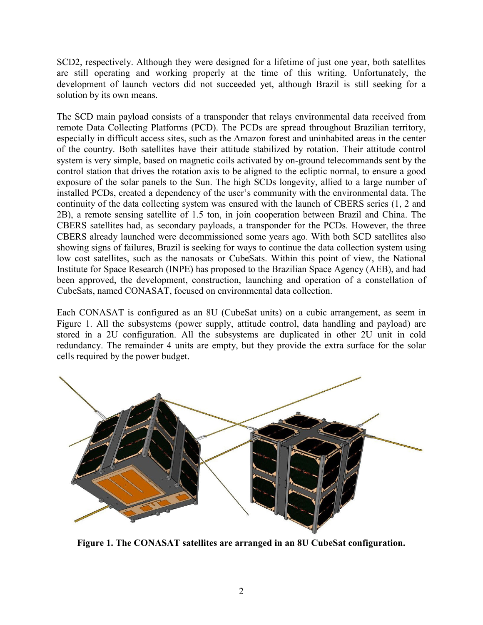SCD2, respectively. Although they were designed for a lifetime of just one year, both satellites are still operating and working properly at the time of this writing. Unfortunately, the development of launch vectors did not succeeded yet, although Brazil is still seeking for a solution by its own means.

The SCD main payload consists of a transponder that relays environmental data received from remote Data Collecting Platforms (PCD). The PCDs are spread throughout Brazilian territory, especially in difficult access sites, such as the Amazon forest and uninhabited areas in the center of the country. Both satellites have their attitude stabilized by rotation. Their attitude control system is very simple, based on magnetic coils activated by on-ground telecommands sent by the control station that drives the rotation axis to be aligned to the ecliptic normal, to ensure a good exposure of the solar panels to the Sun. The high SCDs longevity, allied to a large number of installed PCDs, created a dependency of the user's community with the environmental data. The continuity of the data collecting system was ensured with the launch of CBERS series (1, 2 and 2B), a remote sensing satellite of 1.5 ton, in join cooperation between Brazil and China. The CBERS satellites had, as secondary payloads, a transponder for the PCDs. However, the three CBERS already launched were decommissioned some years ago. With both SCD satellites also showing signs of failures, Brazil is seeking for ways to continue the data collection system using low cost satellites, such as the nanosats or CubeSats. Within this point of view, the National Institute for Space Research (INPE) has proposed to the Brazilian Space Agency (AEB), and had been approved, the development, construction, launching and operation of a constellation of CubeSats, named CONASAT, focused on environmental data collection.

Each CONASAT is configured as an 8U (CubeSat units) on a cubic arrangement, as seem in Figure 1. All the subsystems (power supply, attitude control, data handling and payload) are stored in a 2U configuration. All the subsystems are duplicated in other 2U unit in cold redundancy. The remainder 4 units are empty, but they provide the extra surface for the solar cells required by the power budget.



Figure 1. The CONASAT satellites are arranged in an 8U CubeSat configuration.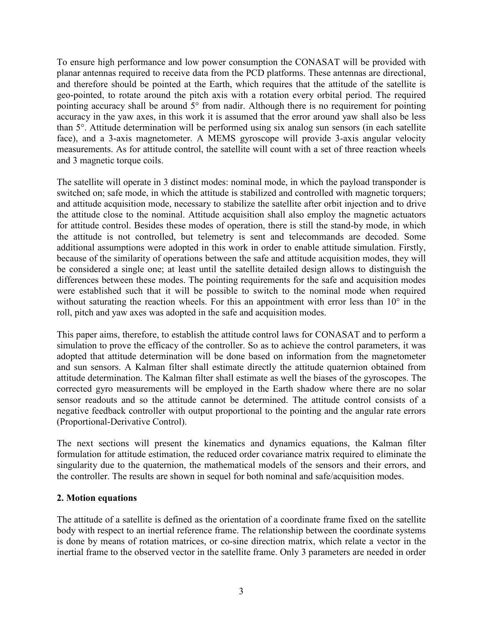To ensure high performance and low power consumption the CONASAT will be provided with planar antennas required to receive data from the PCD platforms. These antennas are directional, and therefore should be pointed at the Earth, which requires that the attitude of the satellite is geo-pointed, to rotate around the pitch axis with a rotation every orbital period. The required pointing accuracy shall be around 5° from nadir. Although there is no requirement for pointing accuracy in the yaw axes, in this work it is assumed that the error around yaw shall also be less than 5°. Attitude determination will be performed using six analog sun sensors (in each satellite face), and a 3-axis magnetometer. A MEMS gyroscope will provide 3-axis angular velocity measurements. As for attitude control, the satellite will count with a set of three reaction wheels and 3 magnetic torque coils.

The satellite will operate in 3 distinct modes: nominal mode, in which the payload transponder is switched on; safe mode, in which the attitude is stabilized and controlled with magnetic torquers; and attitude acquisition mode, necessary to stabilize the satellite after orbit injection and to drive the attitude close to the nominal. Attitude acquisition shall also employ the magnetic actuators for attitude control. Besides these modes of operation, there is still the stand-by mode, in which the attitude is not controlled, but telemetry is sent and telecommands are decoded. Some additional assumptions were adopted in this work in order to enable attitude simulation. Firstly, because of the similarity of operations between the safe and attitude acquisition modes, they will be considered a single one; at least until the satellite detailed design allows to distinguish the differences between these modes. The pointing requirements for the safe and acquisition modes were established such that it will be possible to switch to the nominal mode when required without saturating the reaction wheels. For this an appointment with error less than 10<sup>°</sup> in the roll, pitch and yaw axes was adopted in the safe and acquisition modes.

This paper aims, therefore, to establish the attitude control laws for CONASAT and to perform a simulation to prove the efficacy of the controller. So as to achieve the control parameters, it was adopted that attitude determination will be done based on information from the magnetometer and sun sensors. A Kalman filter shall estimate directly the attitude quaternion obtained from attitude determination. The Kalman filter shall estimate as well the biases of the gyroscopes. The corrected gyro measurements will be employed in the Earth shadow where there are no solar sensor readouts and so the attitude cannot be determined. The attitude control consists of a negative feedback controller with output proportional to the pointing and the angular rate errors (Proportional-Derivative Control).

The next sections will present the kinematics and dynamics equations, the Kalman filter formulation for attitude estimation, the reduced order covariance matrix required to eliminate the singularity due to the quaternion, the mathematical models of the sensors and their errors, and the controller. The results are shown in sequel for both nominal and safe/acquisition modes.

## 2. Motion equations

The attitude of a satellite is defined as the orientation of a coordinate frame fixed on the satellite body with respect to an inertial reference frame. The relationship between the coordinate systems is done by means of rotation matrices, or co-sine direction matrix, which relate a vector in the inertial frame to the observed vector in the satellite frame. Only 3 parameters are needed in order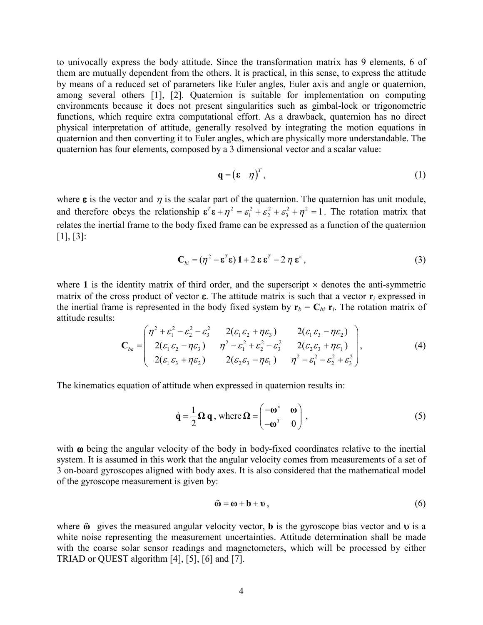to univocally express the body attitude. Since the transformation matrix has 9 elements, 6 of them are mutually dependent from the others. It is practical, in this sense, to express the attitude by means of a reduced set of parameters like Euler angles, Euler axis and angle or quaternion, among several others [1], [2]. Quaternion is suitable for implementation on computing environments because it does not present singularities such as gimbal-lock or trigonometric functions, which require extra computational effort. As a drawback, quaternion has no direct physical interpretation of attitude, generally resolved by integrating the motion equations in quaternion and then converting it to Euler angles, which are physically more understandable. The quaternion has four elements, composed by a 3 dimensional vector and a scalar value:

$$
\mathbf{q} = (\mathbf{\varepsilon} \quad \eta)^T, \tag{1}
$$

where  $\epsilon$  is the vector and  $\eta$  is the scalar part of the quaternion. The quaternion has unit module, and therefore obeys the relationship  $\mathbf{\varepsilon}^T \mathbf{\varepsilon} + \eta^2 = \varepsilon_1^2 + \varepsilon_2^2 + \varepsilon_3^2 + \eta^2 = 1$ . The rotation matrix that relates the inertial frame to the body fixed frame can be expressed as a function of the quaternion [1], [3]:

$$
\mathbf{C}_{bi} = (\eta^2 - \mathbf{\varepsilon}^T \mathbf{\varepsilon}) \mathbf{1} + 2 \mathbf{\varepsilon} \mathbf{\varepsilon}^T - 2 \eta \mathbf{\varepsilon}^* , \tag{3}
$$

where 1 is the identity matrix of third order, and the superscript  $\times$  denotes the anti-symmetric matrix of the cross product of vector  $\varepsilon$ . The attitude matrix is such that a vector  $r_i$  expressed in the inertial frame is represented in the body fixed system by  $r_b = C_{bi} r_i$ . The rotation matrix of attitude results:

$$
\mathbf{C}_{ba} = \begin{pmatrix} \eta^2 + \varepsilon_1^2 - \varepsilon_2^2 - \varepsilon_3^2 & 2(\varepsilon_1 \varepsilon_2 + \eta \varepsilon_3) & 2(\varepsilon_1 \varepsilon_3 - \eta \varepsilon_2) \\ 2(\varepsilon_1 \varepsilon_2 - \eta \varepsilon_3) & \eta^2 - \varepsilon_1^2 + \varepsilon_2^2 - \varepsilon_3^2 & 2(\varepsilon_2 \varepsilon_3 + \eta \varepsilon_1) \\ 2(\varepsilon_1 \varepsilon_3 + \eta \varepsilon_2) & 2(\varepsilon_2 \varepsilon_3 - \eta \varepsilon_1) & \eta^2 - \varepsilon_1^2 - \varepsilon_2^2 + \varepsilon_3^2 \end{pmatrix},
$$
(4)

The kinematics equation of attitude when expressed in quaternion results in:

$$
\dot{\mathbf{q}} = \frac{1}{2} \mathbf{\Omega} \mathbf{q}, \text{ where } \mathbf{\Omega} = \begin{pmatrix} -\omega^{\times} & \omega \\ -\omega^T & 0 \end{pmatrix}, \tag{5}
$$

with  $\omega$  being the angular velocity of the body in body-fixed coordinates relative to the inertial system. It is assumed in this work that the angular velocity comes from measurements of a set of 3 on-board gyroscopes aligned with body axes. It is also considered that the mathematical model of the gyroscope measurement is given by:

$$
\tilde{\mathbf{w}} = \mathbf{w} + \mathbf{b} + \mathbf{v},\tag{6}
$$

where  $\tilde{\omega}$  gives the measured angular velocity vector, **b** is the gyroscope bias vector and **v** is a white noise representing the measurement uncertainties. Attitude determination shall be made with the coarse solar sensor readings and magnetometers, which will be processed by either TRIAD or QUEST algorithm [4], [5], [6] and [7].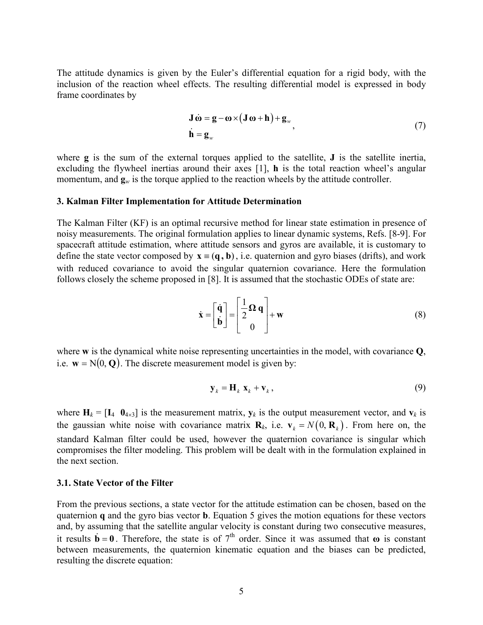The attitude dynamics is given by the Euler's differential equation for a rigid body, with the inclusion of the reaction wheel effects. The resulting differential model is expressed in body frame coordinates by

$$
\mathbf{J}\dot{\mathbf{\omega}} = \mathbf{g} - \mathbf{\omega} \times (\mathbf{J}\mathbf{\omega} + \mathbf{h}) + \mathbf{g}_{w},
$$
  
\n
$$
\dot{\mathbf{h}} = \mathbf{g}_{w}
$$
\n(7)

where **g** is the sum of the external torques applied to the satellite, **J** is the satellite inertia, excluding the flywheel inertias around their axes [1], h is the total reaction wheel's angular momentum, and  $\mathbf{g}_w$  is the torque applied to the reaction wheels by the attitude controller.

## 3. Kalman Filter Implementation for Attitude Determination

The Kalman Filter (KF) is an optimal recursive method for linear state estimation in presence of noisy measurements. The original formulation applies to linear dynamic systems, Refs. [8-9]. For spacecraft attitude estimation, where attitude sensors and gyros are available, it is customary to define the state vector composed by  $\mathbf{x} = (\mathbf{q}, \mathbf{b})$ , i.e. quaternion and gyro biases (drifts), and work with reduced covariance to avoid the singular quaternion covariance. Here the formulation follows closely the scheme proposed in [8]. It is assumed that the stochastic ODEs of state are:

$$
\dot{\mathbf{x}} = \begin{bmatrix} \dot{\mathbf{q}} \\ \dot{\mathbf{b}} \end{bmatrix} = \begin{bmatrix} \frac{1}{2} \Omega \mathbf{q} \\ 0 \end{bmatrix} + \mathbf{w}
$$
 (8)

where w is the dynamical white noise representing uncertainties in the model, with covariance Q, i.e.  $w = N(0, Q)$ . The discrete measurement model is given by:

$$
\mathbf{y}_k = \mathbf{H}_k \mathbf{x}_k + \mathbf{v}_k, \tag{9}
$$

where  $H_k = [I_4 \ 0_{4\times3}]$  is the measurement matrix,  $y_k$  is the output measurement vector, and  $v_k$  is the gaussian white noise with covariance matrix  $\mathbf{R}_k$ , i.e.  $\mathbf{v}_k = N(0, \mathbf{R}_k)$ . From here on, the standard Kalman filter could be used, however the quaternion covariance is singular which compromises the filter modeling. This problem will be dealt with in the formulation explained in the next section.

### 3.1. State Vector of the Filter

From the previous sections, a state vector for the attitude estimation can be chosen, based on the quaternion q and the gyro bias vector b. Equation 5 gives the motion equations for these vectors and, by assuming that the satellite angular velocity is constant during two consecutive measures, it results  $\dot{\mathbf{b}} = \mathbf{0}$ . Therefore, the state is of 7<sup>th</sup> order. Since it was assumed that  $\omega$  is constant between measurements, the quaternion kinematic equation and the biases can be predicted, resulting the discrete equation: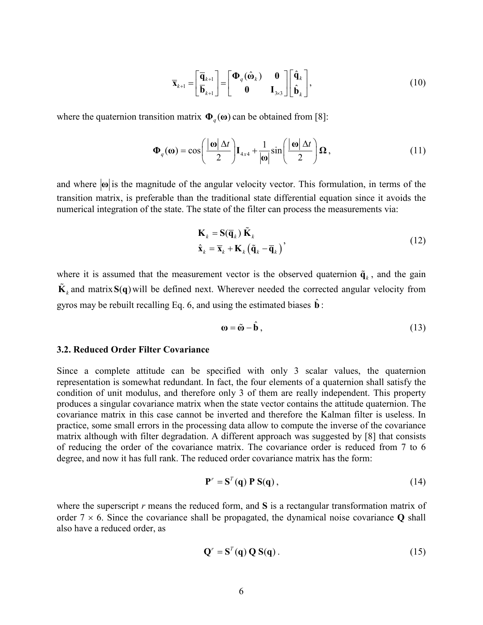$$
\overline{\mathbf{x}}_{k+1} = \begin{bmatrix} \overline{\mathbf{q}}_{k+1} \\ \overline{\mathbf{b}}_{k+1} \end{bmatrix} = \begin{bmatrix} \mathbf{\Phi}_q(\hat{\mathbf{\omega}}_k) & \mathbf{0} \\ \mathbf{0} & \mathbf{I}_{3\times 3} \end{bmatrix} \begin{bmatrix} \hat{\mathbf{q}}_k \\ \hat{\mathbf{b}}_k \end{bmatrix},
$$
(10)

where the quaternion transition matrix  $\mathbf{\Phi}_q(\mathbf{\omega})$  can be obtained from [8]:

$$
\mathbf{\Phi}_q(\mathbf{\omega}) = \cos\left(\frac{|\mathbf{\omega}| \Delta t}{2}\right) \mathbf{I}_{4x4} + \frac{1}{|\mathbf{\omega}|} \sin\left(\frac{|\mathbf{\omega}| \Delta t}{2}\right) \mathbf{\Omega},\tag{11}
$$

and where  $|\omega|$  is the magnitude of the angular velocity vector. This formulation, in terms of the transition matrix, is preferable than the traditional state differential equation since it avoids the numerical integration of the state. The state of the filter can process the measurements via:

$$
\mathbf{K}_{k} = \mathbf{S}(\overline{\mathbf{q}}_{k}) \tilde{\mathbf{K}}_{k} \n\hat{\mathbf{x}}_{k} = \overline{\mathbf{x}}_{k} + \mathbf{K}_{k} (\tilde{\mathbf{q}}_{k} - \overline{\mathbf{q}}_{k})
$$
\n(12)

where it is assumed that the measurement vector is the observed quaternion  $\tilde{\mathbf{q}}_k$ , and the gain  $\tilde{\mathbf{K}}_k$  and matrix  $\mathbf{S}(\mathbf{q})$  will be defined next. Wherever needed the corrected angular velocity from gyros may be rebuilt recalling Eq. 6, and using the estimated biases  $\hat{\mathbf{b}}$ :

$$
\mathbf{\omega} = \tilde{\mathbf{\omega}} - \hat{\mathbf{b}} \,,\tag{13}
$$

#### 3.2. Reduced Order Filter Covariance

Since a complete attitude can be specified with only 3 scalar values, the quaternion representation is somewhat redundant. In fact, the four elements of a quaternion shall satisfy the condition of unit modulus, and therefore only 3 of them are really independent. This property produces a singular covariance matrix when the state vector contains the attitude quaternion. The covariance matrix in this case cannot be inverted and therefore the Kalman filter is useless. In practice, some small errors in the processing data allow to compute the inverse of the covariance matrix although with filter degradation. A different approach was suggested by [8] that consists of reducing the order of the covariance matrix. The covariance order is reduced from 7 to 6 degree, and now it has full rank. The reduced order covariance matrix has the form:

$$
\mathbf{P}^r = \mathbf{S}^T(\mathbf{q}) \mathbf{P} \mathbf{S}(\mathbf{q})\,,\tag{14}
$$

where the superscript  $r$  means the reduced form, and  $S$  is a rectangular transformation matrix of order  $7 \times 6$ . Since the covariance shall be propagated, the dynamical noise covariance Q shall also have a reduced order, as

$$
\mathbf{Q}^r = \mathbf{S}^T(\mathbf{q}) \, \mathbf{Q} \, \mathbf{S}(\mathbf{q}) \,. \tag{15}
$$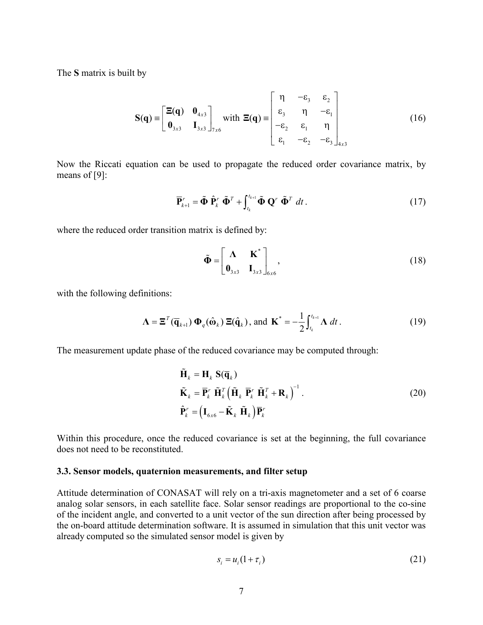The S matrix is built by

$$
\mathbf{S}(\mathbf{q}) = \begin{bmatrix} \Xi(\mathbf{q}) & \mathbf{0}_{4x3} \\ \mathbf{0}_{3x3} & \mathbf{I}_{3x3} \end{bmatrix}_{7x6} \text{ with } \Xi(\mathbf{q}) = \begin{bmatrix} \eta & -\varepsilon_3 & \varepsilon_2 \\ \varepsilon_3 & \eta & -\varepsilon_1 \\ -\varepsilon_2 & \varepsilon_1 & \eta \\ \varepsilon_1 & -\varepsilon_2 & -\varepsilon_3 \end{bmatrix}_{4x3} \tag{16}
$$

Now the Riccati equation can be used to propagate the reduced order covariance matrix, by means of [9]:

$$
\overline{\mathbf{P}}_{k+1}^r = \tilde{\mathbf{\Phi}} \; \hat{\mathbf{P}}_k^r \; \tilde{\mathbf{\Phi}}^T + \int_{t_k}^{t_{k+1}} \tilde{\mathbf{\Phi}} \; \mathbf{Q}^r \; \tilde{\mathbf{\Phi}}^T \; dt \,. \tag{17}
$$

where the reduced order transition matrix is defined by:

$$
\tilde{\Phi} = \begin{bmatrix} \Lambda & \mathbf{K}^* \\ \mathbf{0}_{3x3} & \mathbf{I}_{3x3} \end{bmatrix}_{6x6},
$$
\n(18)

with the following definitions:

$$
\mathbf{\Lambda} = \mathbf{\Xi}^T(\overline{\mathbf{q}}_{k+1}) \, \mathbf{\Phi}_q(\hat{\mathbf{\omega}}_k) \, \mathbf{\Xi}(\hat{\mathbf{q}}_k), \text{ and } \mathbf{K}^* = -\frac{1}{2} \int_{t_k}^{t_{k+1}} \mathbf{\Lambda} \, dt \,. \tag{19}
$$

The measurement update phase of the reduced covariance may be computed through:

$$
\tilde{\mathbf{H}}_{k} = \mathbf{H}_{k} \mathbf{S}(\overline{\mathbf{q}}_{k})
$$
\n
$$
\tilde{\mathbf{K}}_{k} = \overline{\mathbf{P}}_{k}^{r} \tilde{\mathbf{H}}_{k}^{T} \left( \tilde{\mathbf{H}}_{k} \overline{\mathbf{P}}_{k}^{r} \tilde{\mathbf{H}}_{k}^{T} + \mathbf{R}_{k} \right)^{-1}.
$$
\n
$$
\hat{\mathbf{P}}_{k}^{r} = \left( \mathbf{I}_{6x6} - \tilde{\mathbf{K}}_{k} \tilde{\mathbf{H}}_{k} \right) \overline{\mathbf{P}}_{k}^{r}
$$
\n(20)

Within this procedure, once the reduced covariance is set at the beginning, the full covariance does not need to be reconstituted.

#### 3.3. Sensor models, quaternion measurements, and filter setup

Attitude determination of CONASAT will rely on a tri-axis magnetometer and a set of 6 coarse analog solar sensors, in each satellite face. Solar sensor readings are proportional to the co-sine of the incident angle, and converted to a unit vector of the sun direction after being processed by the on-board attitude determination software. It is assumed in simulation that this unit vector was already computed so the simulated sensor model is given by

$$
s_i = u_i(1 + \tau_i) \tag{21}
$$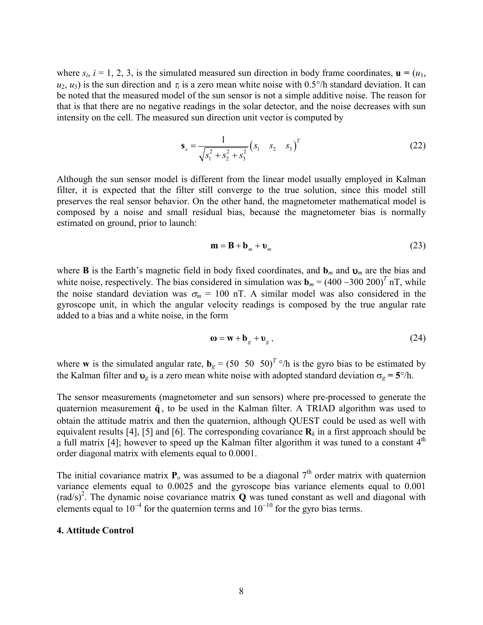where  $s_i$ ,  $i = 1, 2, 3$ , is the simulated measured sun direction in body frame coordinates,  $\mathbf{u} = (u_1, u_2, \dots, u_n)$  $u_2, u_3$ ) is the sun direction and  $\tau_i$  is a zero mean white noise with 0.5°/h standard deviation. It can be noted that the measured model of the sun sensor is not a simple additive noise. The reason for that is that there are no negative readings in the solar detector, and the noise decreases with sun intensity on the cell. The measured sun direction unit vector is computed by

$$
\mathbf{s}_s = \frac{1}{\sqrt{s_1^2 + s_2^2 + s_3^2}} \left( s_1 \quad s_2 \quad s_3 \right)^T \tag{22}
$$

Although the sun sensor model is different from the linear model usually employed in Kalman filter, it is expected that the filter still converge to the true solution, since this model still preserves the real sensor behavior. On the other hand, the magnetometer mathematical model is composed by a noise and small residual bias, because the magnetometer bias is normally estimated on ground, prior to launch:

$$
\mathbf{m} = \mathbf{B} + \mathbf{b}_m + \mathbf{v}_m \tag{23}
$$

where **B** is the Earth's magnetic field in body fixed coordinates, and  $\mathbf{b}_m$  and  $\mathbf{v}_m$  are the bias and white noise, respectively. The bias considered in simulation was  $\mathbf{b}_m = (400 - 300 \ 200)^T \text{ nT}$ , while the noise standard deviation was  $\sigma_m = 100$  nT. A similar model was also considered in the gyroscope unit, in which the angular velocity readings is composed by the true angular rate added to a bias and a white noise, in the form

$$
\mathbf{\omega} = \mathbf{w} + \mathbf{b}_g + \mathbf{v}_g \,,\tag{24}
$$

where **w** is the simulated angular rate,  $\mathbf{b}_g = (50 \ 50 \ 50)^T$  °/h is the gyro bias to be estimated by the Kalman filter and  $v_g$  is a zero mean white noise with adopted standard deviation  $\sigma_g = 5^\circ/h$ .

The sensor measurements (magnetometer and sun sensors) where pre-processed to generate the quaternion measurement  $\tilde{q}$ , to be used in the Kalman filter. A TRIAD algorithm was used to obtain the attitude matrix and then the quaternion, although QUEST could be used as well with equivalent results [4], [5] and [6]. The corresponding covariance  $\mathbf{R}_k$  in a first approach should be a full matrix [4]; however to speed up the Kalman filter algorithm it was tuned to a constant  $4<sup>th</sup>$ order diagonal matrix with elements equal to 0.0001.

The initial covariance matrix  $P_0$  was assumed to be a diagonal  $7<sup>th</sup>$  order matrix with quaternion variance elements equal to 0.0025 and the gyroscope bias variance elements equal to 0.001  $\text{(rad/s)}^2$ . The dynamic noise covariance matrix Q was tuned constant as well and diagonal with elements equal to 10<sup>-4</sup> for the quaternion terms and  $10^{-10}$  for the gyro bias terms.

### 4. Attitude Control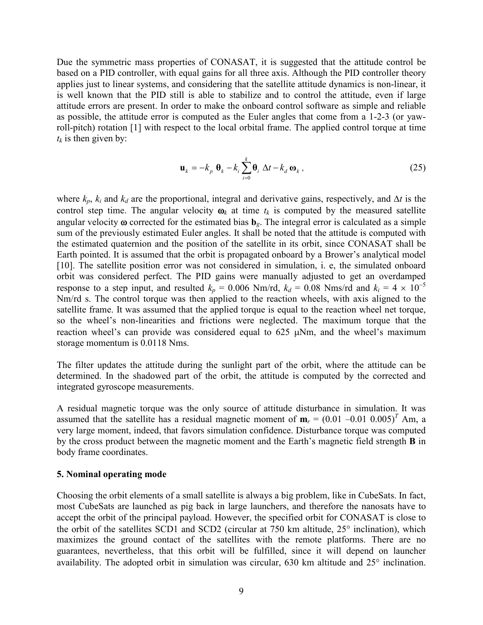Due the symmetric mass properties of CONASAT, it is suggested that the attitude control be based on a PID controller, with equal gains for all three axis. Although the PID controller theory applies just to linear systems, and considering that the satellite attitude dynamics is non-linear, it is well known that the PID still is able to stabilize and to control the attitude, even if large attitude errors are present. In order to make the onboard control software as simple and reliable as possible, the attitude error is computed as the Euler angles that come from a 1-2-3 (or yawroll-pitch) rotation [1] with respect to the local orbital frame. The applied control torque at time  $t_k$  is then given by:

$$
\mathbf{u}_{k} = -k_{p} \, \mathbf{\theta}_{k} - k_{i} \sum_{i=0}^{k} \mathbf{\theta}_{i} \, \Delta t - k_{d} \, \mathbf{\omega}_{k} \,, \tag{25}
$$

where  $k_p$ ,  $k_i$  and  $k_d$  are the proportional, integral and derivative gains, respectively, and ∆t is the control step time. The angular velocity  $\boldsymbol{\omega}_k$  at time  $t_k$  is computed by the measured satellite angular velocity  $\omega$  corrected for the estimated bias  $\mathbf{b}_{\varrho}$ . The integral error is calculated as a simple sum of the previously estimated Euler angles. It shall be noted that the attitude is computed with the estimated quaternion and the position of the satellite in its orbit, since CONASAT shall be Earth pointed. It is assumed that the orbit is propagated onboard by a Brower's analytical model [10]. The satellite position error was not considered in simulation, i. e, the simulated onboard orbit was considered perfect. The PID gains were manually adjusted to get an overdamped response to a step input, and resulted  $k_p = 0.006$  Nm/rd,  $k_d = 0.08$  Nms/rd and  $k_i = 4 \times 10^{-5}$ Nm/rd s. The control torque was then applied to the reaction wheels, with axis aligned to the satellite frame. It was assumed that the applied torque is equal to the reaction wheel net torque, so the wheel's non-linearities and frictions were neglected. The maximum torque that the reaction wheel's can provide was considered equal to 625 µNm, and the wheel's maximum storage momentum is 0.0118 Nms.

The filter updates the attitude during the sunlight part of the orbit, where the attitude can be determined. In the shadowed part of the orbit, the attitude is computed by the corrected and integrated gyroscope measurements.

A residual magnetic torque was the only source of attitude disturbance in simulation. It was assumed that the satellite has a residual magnetic moment of  $m_r = (0.01 - 0.01 0.005)^T$  Am, a very large moment, indeed, that favors simulation confidence. Disturbance torque was computed by the cross product between the magnetic moment and the Earth's magnetic field strength B in body frame coordinates.

#### 5. Nominal operating mode

Choosing the orbit elements of a small satellite is always a big problem, like in CubeSats. In fact, most CubeSats are launched as pig back in large launchers, and therefore the nanosats have to accept the orbit of the principal payload. However, the specified orbit for CONASAT is close to the orbit of the satellites SCD1 and SCD2 (circular at 750 km altitude, 25° inclination), which maximizes the ground contact of the satellites with the remote platforms. There are no guarantees, nevertheless, that this orbit will be fulfilled, since it will depend on launcher availability. The adopted orbit in simulation was circular, 630 km altitude and 25° inclination.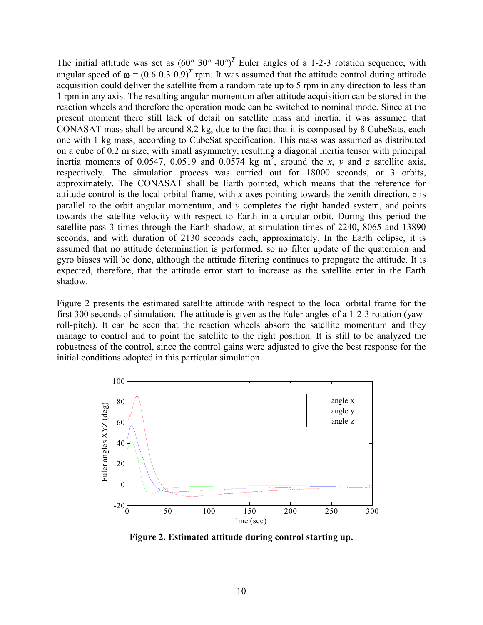The initial attitude was set as  $(60^{\circ} 30^{\circ} 40^{\circ})^T$  Euler angles of a 1-2-3 rotation sequence, with angular speed of  $\omega = (0.6 \ 0.3 \ 0.9)^T$  rpm. It was assumed that the attitude control during attitude acquisition could deliver the satellite from a random rate up to 5 rpm in any direction to less than 1 rpm in any axis. The resulting angular momentum after attitude acquisition can be stored in the reaction wheels and therefore the operation mode can be switched to nominal mode. Since at the present moment there still lack of detail on satellite mass and inertia, it was assumed that CONASAT mass shall be around 8.2 kg, due to the fact that it is composed by 8 CubeSats, each one with 1 kg mass, according to CubeSat specification. This mass was assumed as distributed on a cube of 0.2 m size, with small asymmetry, resulting a diagonal inertia tensor with principal inertia moments of 0.0547, 0.0519 and 0.0574 kg m<sup>2</sup>, around the x, y and z satellite axis, respectively. The simulation process was carried out for 18000 seconds, or 3 orbits, approximately. The CONASAT shall be Earth pointed, which means that the reference for attitude control is the local orbital frame, with x axes pointing towards the zenith direction, z is parallel to the orbit angular momentum, and  $\nu$  completes the right handed system, and points towards the satellite velocity with respect to Earth in a circular orbit. During this period the satellite pass 3 times through the Earth shadow, at simulation times of 2240, 8065 and 13890 seconds, and with duration of 2130 seconds each, approximately. In the Earth eclipse, it is assumed that no attitude determination is performed, so no filter update of the quaternion and gyro biases will be done, although the attitude filtering continues to propagate the attitude. It is expected, therefore, that the attitude error start to increase as the satellite enter in the Earth shadow.

Figure 2 presents the estimated satellite attitude with respect to the local orbital frame for the first 300 seconds of simulation. The attitude is given as the Euler angles of a 1-2-3 rotation (yawroll-pitch). It can be seen that the reaction wheels absorb the satellite momentum and they manage to control and to point the satellite to the right position. It is still to be analyzed the robustness of the control, since the control gains were adjusted to give the best response for the initial conditions adopted in this particular simulation.



Figure 2. Estimated attitude during control starting up.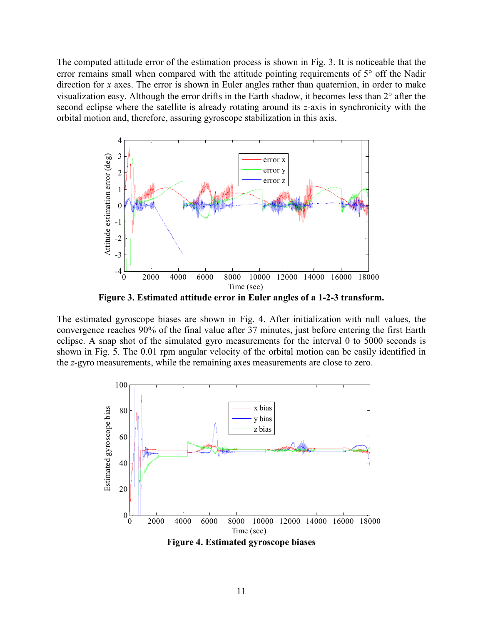The computed attitude error of the estimation process is shown in Fig. 3. It is noticeable that the error remains small when compared with the attitude pointing requirements of 5° off the Nadir direction for x axes. The error is shown in Euler angles rather than quaternion, in order to make visualization easy. Although the error drifts in the Earth shadow, it becomes less than 2° after the second eclipse where the satellite is already rotating around its z-axis in synchronicity with the orbital motion and, therefore, assuring gyroscope stabilization in this axis.



Figure 3. Estimated attitude error in Euler angles of a 1-2-3 transform.

The estimated gyroscope biases are shown in Fig. 4. After initialization with null values, the convergence reaches 90% of the final value after 37 minutes, just before entering the first Earth eclipse. A snap shot of the simulated gyro measurements for the interval 0 to 5000 seconds is shown in Fig. 5. The 0.01 rpm angular velocity of the orbital motion can be easily identified in the z-gyro measurements, while the remaining axes measurements are close to zero.

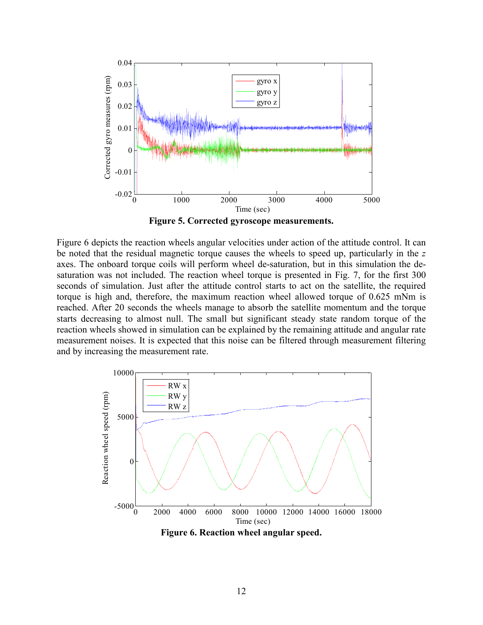

Figure 5. Corrected gyroscope measurements.

Figure 6 depicts the reaction wheels angular velocities under action of the attitude control. It can be noted that the residual magnetic torque causes the wheels to speed up, particularly in the z axes. The onboard torque coils will perform wheel de-saturation, but in this simulation the desaturation was not included. The reaction wheel torque is presented in Fig. 7, for the first 300 seconds of simulation. Just after the attitude control starts to act on the satellite, the required torque is high and, therefore, the maximum reaction wheel allowed torque of 0.625 mNm is reached. After 20 seconds the wheels manage to absorb the satellite momentum and the torque starts decreasing to almost null. The small but significant steady state random torque of the reaction wheels showed in simulation can be explained by the remaining attitude and angular rate measurement noises. It is expected that this noise can be filtered through measurement filtering and by increasing the measurement rate.



Figure 6. Reaction wheel angular speed.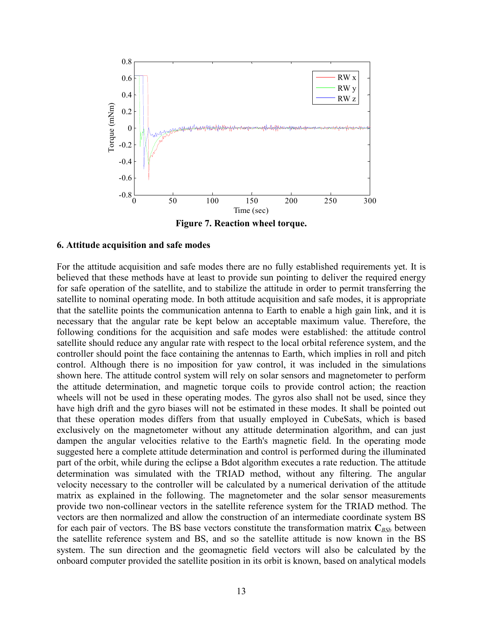

Figure 7. Reaction wheel torque.

#### 6. Attitude acquisition and safe modes

For the attitude acquisition and safe modes there are no fully established requirements yet. It is believed that these methods have at least to provide sun pointing to deliver the required energy for safe operation of the satellite, and to stabilize the attitude in order to permit transferring the satellite to nominal operating mode. In both attitude acquisition and safe modes, it is appropriate that the satellite points the communication antenna to Earth to enable a high gain link, and it is necessary that the angular rate be kept below an acceptable maximum value. Therefore, the following conditions for the acquisition and safe modes were established: the attitude control satellite should reduce any angular rate with respect to the local orbital reference system, and the controller should point the face containing the antennas to Earth, which implies in roll and pitch control. Although there is no imposition for yaw control, it was included in the simulations shown here. The attitude control system will rely on solar sensors and magnetometer to perform the attitude determination, and magnetic torque coils to provide control action; the reaction wheels will not be used in these operating modes. The gyros also shall not be used, since they have high drift and the gyro biases will not be estimated in these modes. It shall be pointed out that these operation modes differs from that usually employed in CubeSats, which is based exclusively on the magnetometer without any attitude determination algorithm, and can just dampen the angular velocities relative to the Earth's magnetic field. In the operating mode suggested here a complete attitude determination and control is performed during the illuminated part of the orbit, while during the eclipse a Bdot algorithm executes a rate reduction. The attitude determination was simulated with the TRIAD method, without any filtering. The angular velocity necessary to the controller will be calculated by a numerical derivation of the attitude matrix as explained in the following. The magnetometer and the solar sensor measurements provide two non-collinear vectors in the satellite reference system for the TRIAD method. The vectors are then normalized and allow the construction of an intermediate coordinate system BS for each pair of vectors. The BS base vectors constitute the transformation matrix  $C_{BSb}$  between the satellite reference system and BS, and so the satellite attitude is now known in the BS system. The sun direction and the geomagnetic field vectors will also be calculated by the onboard computer provided the satellite position in its orbit is known, based on analytical models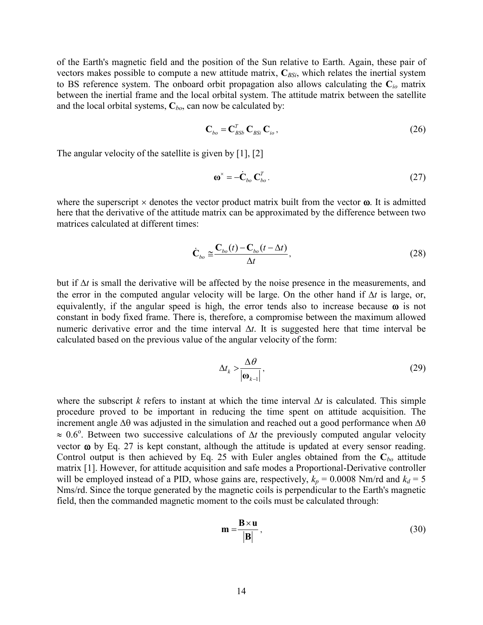of the Earth's magnetic field and the position of the Sun relative to Earth. Again, these pair of vectors makes possible to compute a new attitude matrix,  $C_{BSi}$ , which relates the inertial system to BS reference system. The onboard orbit propagation also allows calculating the  $C_{i0}$  matrix between the inertial frame and the local orbital system. The attitude matrix between the satellite and the local orbital systems,  $C_{bo}$ , can now be calculated by:

$$
\mathbf{C}_{bo} = \mathbf{C}_{B\mathcal{S}b}^T \, \mathbf{C}_{\mathcal{B}\mathcal{S}i} \, \mathbf{C}_{io} \,,\tag{26}
$$

The angular velocity of the satellite is given by [1], [2]

$$
\mathbf{\omega}^* = -\dot{\mathbf{C}}_{bo} \, \mathbf{C}_{bo}^T \,. \tag{27}
$$

where the superscript  $\times$  denotes the vector product matrix built from the vector  $\omega$ . It is admitted here that the derivative of the attitude matrix can be approximated by the difference between two matrices calculated at different times:

$$
\dot{\mathbf{C}}_{bo} \cong \frac{\mathbf{C}_{bo}(t) - \mathbf{C}_{bo}(t - \Delta t)}{\Delta t},\tag{28}
$$

but if ∆t is small the derivative will be affected by the noise presence in the measurements, and the error in the computed angular velocity will be large. On the other hand if ∆t is large, or, equivalently, if the angular speed is high, the error tends also to increase because  $\omega$  is not constant in body fixed frame. There is, therefore, a compromise between the maximum allowed numeric derivative error and the time interval  $\Delta t$ . It is suggested here that time interval be calculated based on the previous value of the angular velocity of the form:

$$
\Delta t_k > \frac{\Delta \theta}{|\mathbf{\omega}_{k-1}|},\tag{29}
$$

where the subscript k refers to instant at which the time interval  $\Delta t$  is calculated. This simple procedure proved to be important in reducing the time spent on attitude acquisition. The increment angle ∆θ was adjusted in the simulation and reached out a good performance when ∆θ  $\approx 0.6^{\circ}$ . Between two successive calculations of  $\Delta t$  the previously computed angular velocity vector ω by Eq. 27 is kept constant, although the attitude is updated at every sensor reading. Control output is then achieved by Eq. 25 with Euler angles obtained from the  $C_{bo}$  attitude matrix [1]. However, for attitude acquisition and safe modes a Proportional-Derivative controller will be employed instead of a PID, whose gains are, respectively,  $k_p = 0.0008$  Nm/rd and  $k_d = 5$ Nms/rd. Since the torque generated by the magnetic coils is perpendicular to the Earth's magnetic field, then the commanded magnetic moment to the coils must be calculated through:

$$
\mathbf{m} = \frac{\mathbf{B} \times \mathbf{u}}{|\mathbf{B}|},\tag{30}
$$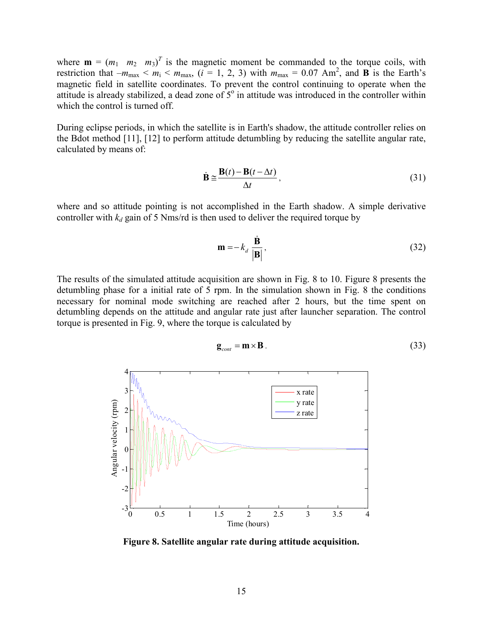where  $\mathbf{m} = (m_1 \quad m_2 \quad m_3)^T$  is the magnetic moment be commanded to the torque coils, with restriction that  $-m_{\text{max}} < m_i < m_{\text{max}}$ , ( $i = 1, 2, 3$ ) with  $m_{\text{max}} = 0.07 \text{ Am}^2$ , and **B** is the Earth's magnetic field in satellite coordinates. To prevent the control continuing to operate when the attitude is already stabilized, a dead zone of  $5^\circ$  in attitude was introduced in the controller within which the control is turned off.

During eclipse periods, in which the satellite is in Earth's shadow, the attitude controller relies on the Bdot method [11], [12] to perform attitude detumbling by reducing the satellite angular rate, calculated by means of:

$$
\dot{\mathbf{B}} \approx \frac{\mathbf{B}(t) - \mathbf{B}(t - \Delta t)}{\Delta t},
$$
\n(31)

where and so attitude pointing is not accomplished in the Earth shadow. A simple derivative controller with  $k_d$  gain of 5 Nms/rd is then used to deliver the required torque by

$$
\mathbf{m} = -k_d \frac{\dot{\mathbf{B}}}{|\mathbf{B}|},
$$
 (32)

The results of the simulated attitude acquisition are shown in Fig. 8 to 10. Figure 8 presents the detumbling phase for a initial rate of 5 rpm. In the simulation shown in Fig. 8 the conditions necessary for nominal mode switching are reached after 2 hours, but the time spent on detumbling depends on the attitude and angular rate just after launcher separation. The control torque is presented in Fig. 9, where the torque is calculated by

$$
\mathbf{g}_{cont} = \mathbf{m} \times \mathbf{B} \tag{33}
$$



Figure 8. Satellite angular rate during attitude acquisition.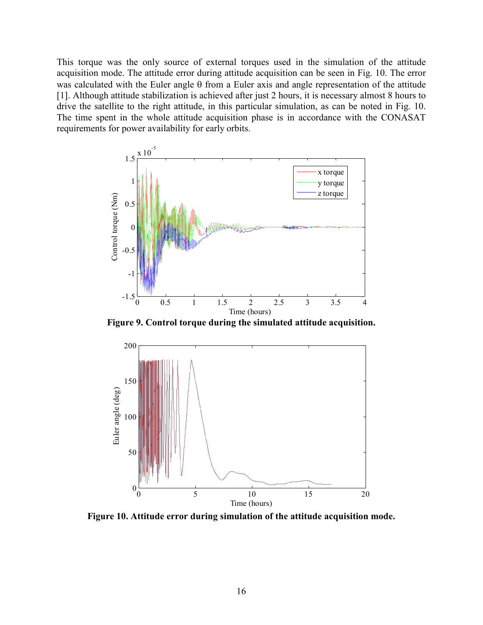This torque was the only source of external torques used in the simulation of the attitude acquisition mode. The attitude error during attitude acquisition can be seen in Fig. 10. The error was calculated with the Euler angle  $\theta$  from a Euler axis and angle representation of the attitude [1]. Although attitude stabilization is achieved after just 2 hours, it is necessary almost 8 hours to drive the satellite to the right attitude, in this particular simulation, as can be noted in Fig. 10. The time spent in the whole attitude acquisition phase is in accordance with the CONASAT requirements for power availability for early orbits.



Figure 9. Control torque during the simulated attitude acquisition.



Figure 10. Attitude error during simulation of the attitude acquisition mode.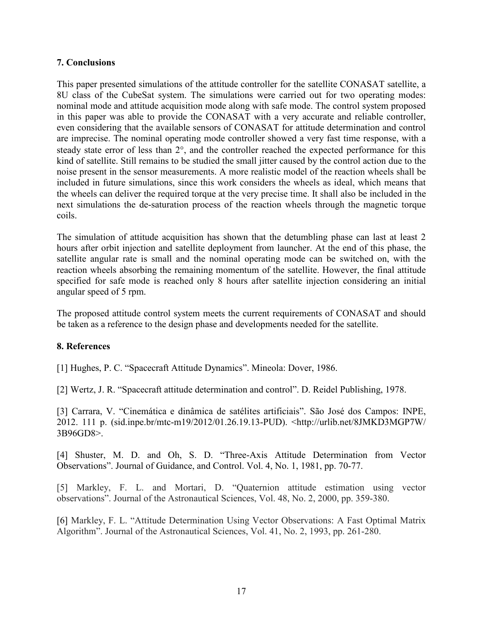## 7. Conclusions

This paper presented simulations of the attitude controller for the satellite CONASAT satellite, a 8U class of the CubeSat system. The simulations were carried out for two operating modes: nominal mode and attitude acquisition mode along with safe mode. The control system proposed in this paper was able to provide the CONASAT with a very accurate and reliable controller, even considering that the available sensors of CONASAT for attitude determination and control are imprecise. The nominal operating mode controller showed a very fast time response, with a steady state error of less than 2°, and the controller reached the expected performance for this kind of satellite. Still remains to be studied the small jitter caused by the control action due to the noise present in the sensor measurements. A more realistic model of the reaction wheels shall be included in future simulations, since this work considers the wheels as ideal, which means that the wheels can deliver the required torque at the very precise time. It shall also be included in the next simulations the de-saturation process of the reaction wheels through the magnetic torque coils.

The simulation of attitude acquisition has shown that the detumbling phase can last at least 2 hours after orbit injection and satellite deployment from launcher. At the end of this phase, the satellite angular rate is small and the nominal operating mode can be switched on, with the reaction wheels absorbing the remaining momentum of the satellite. However, the final attitude specified for safe mode is reached only 8 hours after satellite injection considering an initial angular speed of 5 rpm.

The proposed attitude control system meets the current requirements of CONASAT and should be taken as a reference to the design phase and developments needed for the satellite.

## 8. References

[1] Hughes, P. C. "Spacecraft Attitude Dynamics". Mineola: Dover, 1986.

[2] Wertz, J. R. "Spacecraft attitude determination and control". D. Reidel Publishing, 1978.

[3] Carrara, V. "Cinemática e dinâmica de satélites artificiais". São José dos Campos: INPE, 2012. 111 p. (sid.inpe.br/mtc-m19/2012/01.26.19.13-PUD). <http://urlib.net/8JMKD3MGP7W/ 3B96GD8>.

[4] Shuster, M. D. and Oh, S. D. "Three-Axis Attitude Determination from Vector Observations". Journal of Guidance, and Control. Vol. 4, No. 1, 1981, pp. 70-77.

[5] Markley, F. L. and Mortari, D. "Quaternion attitude estimation using vector observations". Journal of the Astronautical Sciences, Vol. 48, No. 2, 2000, pp. 359-380.

[6] Markley, F. L. "Attitude Determination Using Vector Observations: A Fast Optimal Matrix Algorithm". Journal of the Astronautical Sciences, Vol. 41, No. 2, 1993, pp. 261-280.